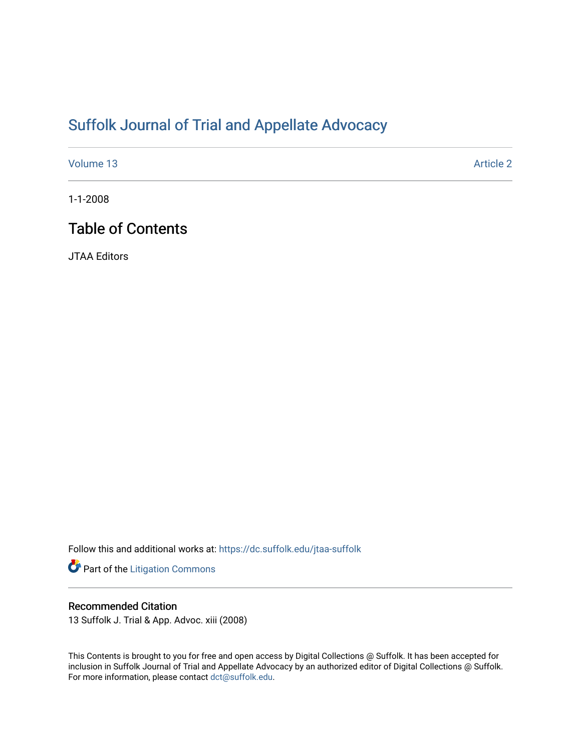# [Suffolk Journal of Trial and Appellate Advocacy](https://dc.suffolk.edu/jtaa-suffolk)

[Volume 13](https://dc.suffolk.edu/jtaa-suffolk/vol13) Article 2

1-1-2008

# Table of Contents

JTAA Editors

Follow this and additional works at: [https://dc.suffolk.edu/jtaa-suffolk](https://dc.suffolk.edu/jtaa-suffolk?utm_source=dc.suffolk.edu%2Fjtaa-suffolk%2Fvol13%2Fiss1%2F2&utm_medium=PDF&utm_campaign=PDFCoverPages) 

Part of the [Litigation Commons](http://network.bepress.com/hgg/discipline/910?utm_source=dc.suffolk.edu%2Fjtaa-suffolk%2Fvol13%2Fiss1%2F2&utm_medium=PDF&utm_campaign=PDFCoverPages)

### Recommended Citation

13 Suffolk J. Trial & App. Advoc. xiii (2008)

This Contents is brought to you for free and open access by Digital Collections @ Suffolk. It has been accepted for inclusion in Suffolk Journal of Trial and Appellate Advocacy by an authorized editor of Digital Collections @ Suffolk. For more information, please contact [dct@suffolk.edu](mailto:dct@suffolk.edu).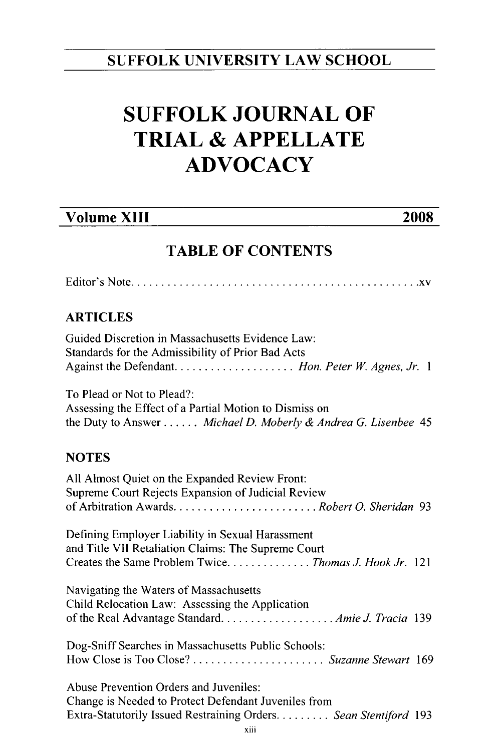## **SUFFOLK UNIVERSITY LAW SCHOOL**

# **SUFFOLK JOURNAL OF TRIAL & APPELLATE ADVOCACY**

# **Volume XIII 2008**

## **TABLE OF CONTENTS**

E ditor's N ote ................................................ xv

### **ARTICLES**

| Guided Discretion in Massachusetts Evidence Law:  |  |
|---------------------------------------------------|--|
| Standards for the Admissibility of Prior Bad Acts |  |
|                                                   |  |

To Plead or Not to Plead?: Assessing the Effect of a Partial Motion to Dismiss on the Duty to Answer ...... *Michael D. Moberly & Andrea G. Lisenbee 45*

### **NOTES**

| All Almost Quiet on the Expanded Review Front:<br>Supreme Court Rejects Expansion of Judicial Review |  |
|------------------------------------------------------------------------------------------------------|--|
|                                                                                                      |  |
| Defining Employer Liability in Sexual Harassment                                                     |  |
| and Title VII Retaliation Claims: The Supreme Court                                                  |  |
| Creates the Same Problem Twice Thomas J. Hook Jr. 121                                                |  |
| Navigating the Waters of Massachusetts                                                               |  |
| Child Relocation Law: Assessing the Application                                                      |  |
|                                                                                                      |  |
| Dog-Sniff Searches in Massachusetts Public Schools:                                                  |  |
|                                                                                                      |  |
| Abuse Prevention Orders and Juveniles:                                                               |  |
| Change is Needed to Protect Defendant Juveniles from                                                 |  |
| Extra-Statutorily Issued Restraining Orders Sean Stentiford 193                                      |  |